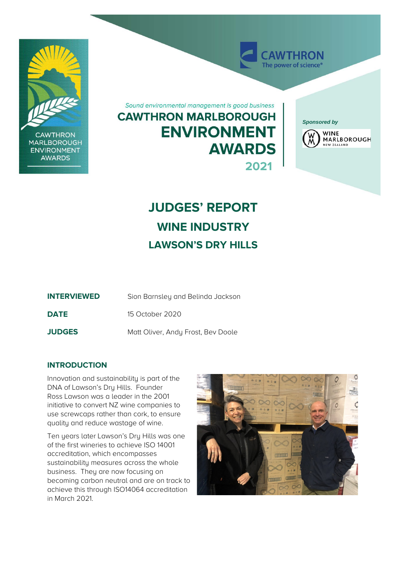

**CAWTHRON MARLBOROUGH ENVIRONMENT AWARDS** 

Sound environmental management is good business

# **CAWTHRON MARLBOROUGH ENVIRONMENT AWARDS 2021**

*Sponsored by*

**AWTHRON** The power of science<sup>®</sup>



# **JUDGES' REPORT WINE INDUSTRY LAWSON'S DRY HILLS**

| <b>INTERVIEWED</b> | Sion Barnsley and Belinda Jackson  |
|--------------------|------------------------------------|
| <b>DATE</b>        | 15 October 2020                    |
| <b>JUDGES</b>      | Matt Oliver, Andy Frost, Bev Doole |

## **INTRODUCTION**

Innovation and sustainability is part of the DNA of Lawson's Dry Hills. Founder Ross Lawson was a leader in the 2001 initiative to convert NZ wine companies to use screwcaps rather than cork, to ensure quality and reduce wastage of wine.

Ten years later Lawson's Dry Hills was one of the first wineries to achieve ISO 14001 accreditation, which encompasses sustainability measures across the whole business. They are now focusing on becoming carbon neutral and are on track to achieve this through ISO14064 accreditation in March 2021.

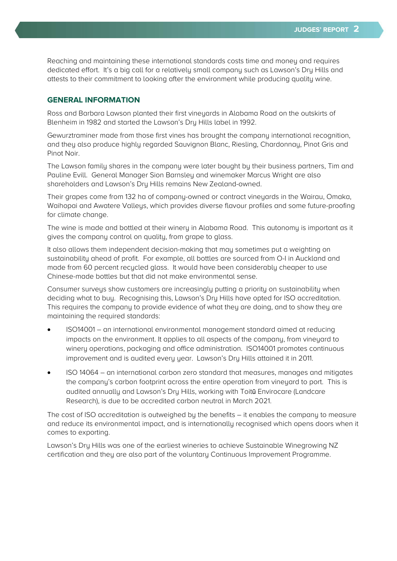Reaching and maintaining these international standards costs time and money and requires dedicated effort. It's a big call for a relatively small company such as Lawson's Dry Hills and attests to their commitment to looking after the environment while producing quality wine.

#### **GENERAL INFORMATION**

Ross and Barbara Lawson planted their first vineyards in Alabama Road on the outskirts of Blenheim in 1982 and started the Lawson's Dry Hills label in 1992.

Gewurztraminer made from those first vines has brought the company international recognition, and they also produce highly regarded Sauvignon Blanc, Riesling, Chardonnay, Pinot Gris and Pinot Noir.

The Lawson family shares in the company were later bought by their business partners. Tim and Pauline Evill. General Manager Sion Barnsley and winemaker Marcus Wright are also shareholders and Lawson's Dry Hills remains New Zealand-owned.

Their grapes come from 132 ha of company-owned or contract vineyards in the Wairau, Omaka, Waihopai and Awatere Valleys, which provides diverse flavour profiles and some future-proofing for climate change.

The wine is made and bottled at their winery in Alabama Road. This autonomy is important as it gives the company control on quality, from grape to glass.

It also allows them independent decision-making that may sometimes put a weighting on sustainability ahead of profit. For example, all bottles are sourced from O-I in Auckland and made from 60 percent recycled glass. It would have been considerably cheaper to use Chinese-made bottles but that did not make environmental sense.

Consumer surveys show customers are increasingly putting a priority on sustainability when deciding what to buy. Recognising this, Lawson's Dry Hills have opted for ISO accreditation. This requires the company to provide evidence of what they are doing, and to show they are maintaining the required standards:

- ISO14001 an international environmental management standard aimed at reducing impacts on the environment. It applies to all aspects of the company, from vineyard to winery operations, packaging and office administration. ISO14001 promotes continuous improvement and is audited every year. Lawson's Dry Hills attained it in 2011.
- ISO 14064 an international carbon zero standard that measures, manages and mitigates the company's carbon footprint across the entire operation from vineyard to port. This is audited annually and Lawson's Dry Hills, working with Toitū Envirocare (Landcare Research), is due to be accredited carbon neutral in March 2021.

The cost of ISO accreditation is outweighed by the benefits – it enables the company to measure and reduce its environmental impact, and is internationally recognised which opens doors when it comes to exporting.

Lawson's Dry Hills was one of the earliest wineries to achieve Sustainable Winegrowing NZ certification and they are also part of the voluntary Continuous Improvement Programme.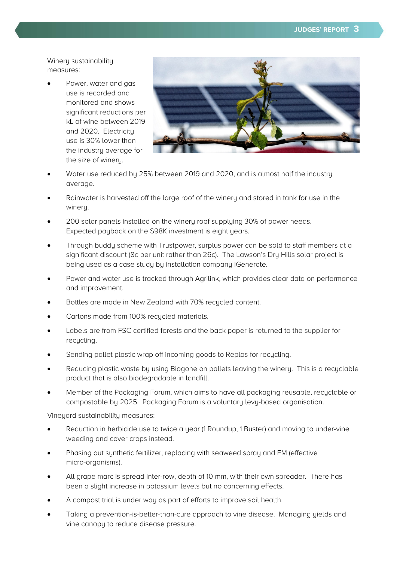Winery sustainability measures:

• Power, water and gas use is recorded and monitored and shows significant reductions per kL of wine between 2019 and 2020. Electricity use is 30% lower than the industry average for the size of winery.



- Water use reduced by 25% between 2019 and 2020, and is almost half the industry average.
- Rainwater is harvested off the large roof of the winery and stored in tank for use in the winery.
- 200 solar panels installed on the winery roof supplying 30% of power needs. Expected pauback on the \$98K investment is eight years.
- Through buddy scheme with Trustpower, surplus power can be sold to staff members at a significant discount (8c per unit rather than 26c). The Lawson's Dry Hills solar project is being used as a case study by installation company iGenerate.
- Power and water use is tracked through Agrilink, which provides clear data on performance and improvement.
- Bottles are made in New Zealand with 70% recycled content.
- Cartons made from 100% recycled materials.
- Labels are from FSC certified forests and the back paper is returned to the supplier for recucling.
- Sending pallet plastic wrap off incoming goods to Replas for recucling.
- Reducing plastic waste by using Biogone on pallets leaving the winery. This is a recyclable product that is also biodegradable in landfill.
- Member of the Packaging Forum, which aims to have all packaging reusable, recyclable or compostable by 2025. Packaging Forum is a voluntary levy-based organisation.

Vineyard sustainability measures:

- Reduction in herbicide use to twice a year (1 Roundup, 1 Buster) and moving to under-vine weeding and cover crops instead.
- Phasing out synthetic fertilizer, replacing with seaweed spray and EM (effective micro-organisms).
- All grape marc is spread inter-row, depth of 10 mm, with their own spreader. There has been a slight increase in potassium levels but no concerning effects.
- A compost trial is under way as part of efforts to improve soil health.
- Taking a prevention-is-better-than-cure approach to vine disease. Managing yields and vine canopy to reduce disease pressure.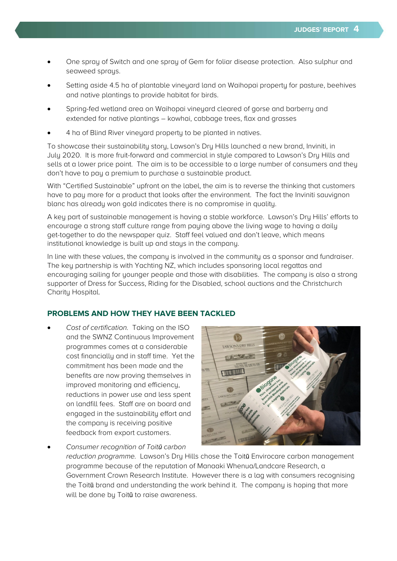- One spray of Switch and one spray of Gem for foliar disease protection. Also sulphur and seaweed sprays.
- Setting aside 4.5 ha of plantable vineyard land on Waihopai property for pasture, beehives and native plantings to provide habitat for birds.
- Spring-fed wetland area on Waihopai vineyard cleared of gorse and barberry and extended for native plantings – kowhai, cabbage trees, flax and grasses
- 4 ha of Blind River vineyard property to be planted in natives.

To showcase their sustainability story, Lawson's Dry Hills launched a new brand, Inviniti, in July 2020. It is more fruit-forward and commercial in style compared to Lawson's Dry Hills and sells at a lower price point. The aim is to be accessible to a large number of consumers and they don't have to pay a premium to purchase a sustainable product.

With "Certified Sustainable" upfront on the label, the aim is to reverse the thinking that customers have to pay more for a product that looks after the environment. The fact the Inviniti sauvignon blanc has already won gold indicates there is no compromise in quality.

A key part of sustainable management is having a stable workforce. Lawson's Dry Hills' efforts to encourage a strong staff culture range from paying above the living wage to having a daily get-together to do the newspaper quiz. Staff feel valued and don't leave, which means institutional knowledge is built up and stays in the company.

In line with these values, the company is involved in the community as a sponsor and fundraiser. The key partnership is with Yachting NZ, which includes sponsoring local regattas and encouraging sailing for younger people and those with disabilities. The company is also a strong supporter of Dress for Success, Riding for the Disabled, school auctions and the Christchurch Charity Hospital.

## **PROBLEMS AND HOW THEY HAVE BEEN TACKLED**

• Cost of certification. Taking on the ISO and the SWNZ Continuous Improvement programmes comes at a considerable cost financially and in staff time. Yet the commitment has been made and the benefits are now proving themselves in improved monitoring and efficiency, reductions in power use and less spent on landfill fees. Staff are on board and engaged in the sustainability effort and the company is receiving positive feedback from export customers.



• Consumer recognition of Toit*ū* carbon reduction programme. Lawson's Dry Hills chose the Toitū Envirocare carbon management programme because of the reputation of Manaaki Whenua/Landcare Research, a Government Crown Research Institute. However there is a lag with consumers recognising the Toitū brand and understanding the work behind it. The company is hoping that more will be done bu Toitū to raise awareness.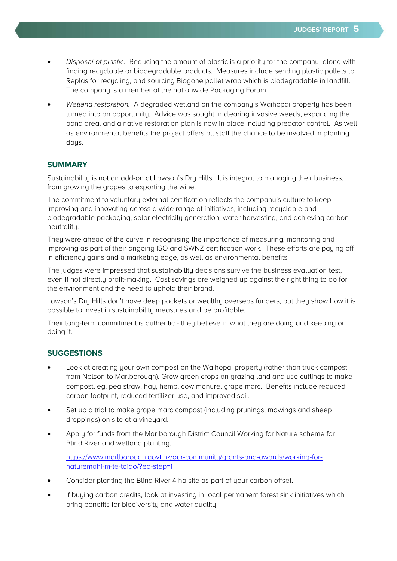- Disposal of plastic. Reducing the amount of plastic is a priority for the company, along with finding recyclable or biodegradable products. Measures include sending plastic pallets to Replas for recycling, and sourcing Biogone pallet wrap which is biodegradable in landfill. The company is a member of the nationwide Packaging Forum.
- Wetland restoration. A degraded wetland on the company's Waihopai property has been turned into an opportunity. Advice was sought in clearing invasive weeds, expanding the pond area, and a native restoration plan is now in place including predator control. As well as environmental benefits the project offers all staff the chance to be involved in planting daus.

#### **SUMMARY**

Sustainability is not an add-on at Lawson's Dry Hills. It is integral to managing their business, from growing the grapes to exporting the wine.

The commitment to voluntary external certification reflects the company's culture to keep improving and innovating across a wide range of initiatives, including recyclable and biodegradable packaging, solar electricity generation, water harvesting, and achieving carbon neutrality.

They were ahead of the curve in recognising the importance of measuring, monitoring and improving as part of their ongoing ISO and SWNZ certification work. These efforts are paying off in efficiency gains and a marketing edge, as well as environmental benefits.

The judges were impressed that sustainability decisions survive the business evaluation test, even if not directly profit-making. Cost savings are weighed up against the right thing to do for the environment and the need to uphold their brand.

Lawson's Dry Hills don't have deep pockets or wealthy overseas funders, but they show how it is possible to invest in sustainability measures and be profitable.

Their long-term commitment is authentic - they believe in what they are doing and keeping on doing it.

#### **SUGGESTIONS**

- Look at creating your own compost on the Waihopai property (rather than truck compost from Nelson to Marlborough). Grow green crops on grazing land and use cuttings to make compost, eg, pea straw, hay, hemp, cow manure, grape marc. Benefits include reduced carbon footprint, reduced fertilizer use, and improved soil.
- Set up a trial to make grape marc compost (including prunings, mowings and sheep droppings) on site at a vineyard.
- Apply for funds from the Marlborough District Council Working for Nature scheme for Blind River and wetland planting.

[https://www.marlborough.govt.nz/our-community/grants-and-awards/working-for](https://www.marlborough.govt.nz/our-community/grants-and-awards/working-for-naturemahi-m-te-taiao/?ed-step=1)[naturemahi-m-te-taiao/?ed-step=1](https://www.marlborough.govt.nz/our-community/grants-and-awards/working-for-naturemahi-m-te-taiao/?ed-step=1)

- Consider planting the Blind River 4 ha site as part of your carbon offset.
- If buying carbon credits, look at investing in local permanent forest sink initiatives which bring benefits for biodiversity and water quality.